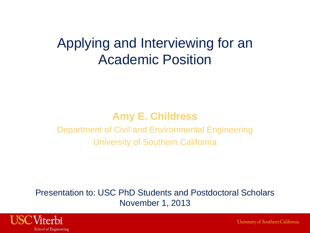### Applying and Interviewing for an Academic Position

#### **Amy E. Childress**

Department of Civil and Environmental Engineering University of Southern California

Presentation to: USC PhD Students and Postdoctoral Scholars November 1, 2013



University of Southern California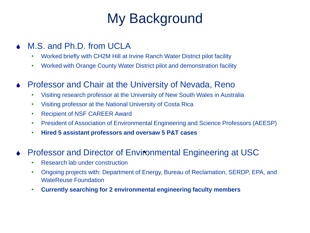# My Background

- M.S. and Ph.D. from UCLA
	- Worked briefly with CH2M Hill at Irvine Ranch Water District pilot facility
	- Worked with Orange County Water District pilot and demonstration facility
- Professor and Chair at the University of Nevada, Reno
	- Visiting research professor at the University of New South Wales in Australia
	- Visiting professor at the National University of Costa Rica
	- Recipient of NSF CAREER Award
	- President of Association of Environmental Engineering and Science Professors (AEESP)
	- **Hired 5 assistant professors and oversaw 5 P&T cases**

#### Professor and Director of Environmental Engineering at USC

- Research lab under construction
- Ongoing projects with: Department of Energy, Bureau of Reclamation, SERDP, EPA, and WateReuse Foundation
- **Currently searching for 2 environmental engineering faculty members**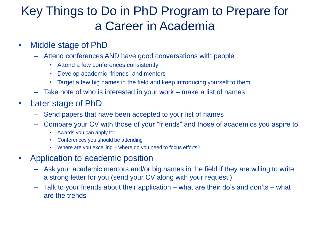### Key Things to Do in PhD Program to Prepare for a Career in Academia

- Middle stage of PhD
	- Attend conferences AND have good conversations with people
		- Attend a few conferences consistently
		- Develop academic "friends" and mentors
		- Target a few big names in the field and keep introducing yourself to them
	- Take note of who is interested in your work make a list of names
- Later stage of PhD
	- Send papers that have been accepted to your list of names
	- Compare your CV with those of your "friends" and those of academics you aspire to
		- Awards you can apply for
		- Conferences you should be attending
		- Where are you excelling where do you need to focus efforts?
- Application to academic position
	- Ask your academic mentors and/or big names in the field if they are willing to write a strong letter for you (send your CV along with your request!)
	- Talk to your friends about their application what are their do's and don'ts what are the trends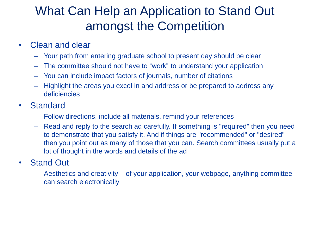### What Can Help an Application to Stand Out amongst the Competition

#### • Clean and clear

- Your path from entering graduate school to present day should be clear
- The committee should not have to "work" to understand your application
- You can include impact factors of journals, number of citations
- Highlight the areas you excel in and address or be prepared to address any deficiencies
- Standard
	- Follow directions, include all materials, remind your references
	- Read and reply to the search ad carefully. If something is "required" then you need to demonstrate that you satisfy it. And if things are "recommended" or "desired" then you point out as many of those that you can. Search committees usually put a lot of thought in the words and details of the ad

#### • Stand Out

– Aesthetics and creativity – of your application, your webpage, anything committee can search electronically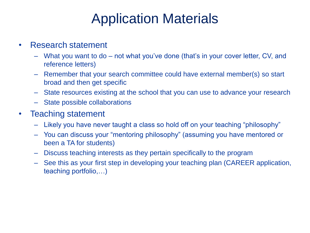## Application Materials

#### • Research statement

- What you want to do not what you've done (that's in your cover letter, CV, and reference letters)
- Remember that your search committee could have external member(s) so start broad and then get specific
- State resources existing at the school that you can use to advance your research
- State possible collaborations

#### • Teaching statement

- Likely you have never taught a class so hold off on your teaching "philosophy"
- You can discuss your "mentoring philosophy" (assuming you have mentored or been a TA for students)
- Discuss teaching interests as they pertain specifically to the program
- See this as your first step in developing your teaching plan (CAREER application, teaching portfolio,…)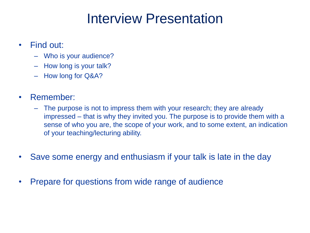## Interview Presentation

- Find out:
	- Who is your audience?
	- How long is your talk?
	- How long for Q&A?
- Remember:
	- The purpose is not to impress them with your research; they are already impressed – that is why they invited you. The purpose is to provide them with a sense of who you are, the scope of your work, and to some extent, an indication of your teaching/lecturing ability.
- Save some energy and enthusiasm if your talk is late in the day
- Prepare for questions from wide range of audience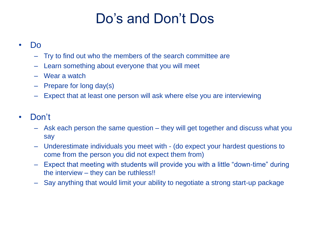# Do's and Don't Dos

#### • Do

- Try to find out who the members of the search committee are
- Learn something about everyone that you will meet
- Wear a watch
- Prepare for long day(s)
- Expect that at least one person will ask where else you are interviewing

#### • Don't

- Ask each person the same question they will get together and discuss what you say
- Underestimate individuals you meet with (do expect your hardest questions to come from the person you did not expect them from)
- Expect that meeting with students will provide you with a little "down-time" during the interview – they can be ruthless!!
- Say anything that would limit your ability to negotiate a strong start-up package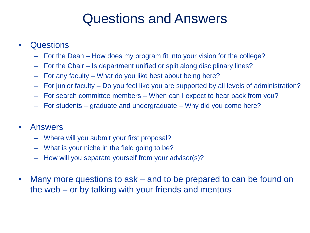## Questions and Answers

#### • Questions

- For the Dean How does my program fit into your vision for the college?
- For the Chair Is department unified or split along disciplinary lines?
- For any faculty What do you like best about being here?
- For junior faculty Do you feel like you are supported by all levels of administration?
- For search committee members When can I expect to hear back from you?
- For students graduate and undergraduate Why did you come here?

#### • Answers

- Where will you submit your first proposal?
- What is your niche in the field going to be?
- How will you separate yourself from your advisor(s)?
- Many more questions to ask and to be prepared to can be found on the web – or by talking with your friends and mentors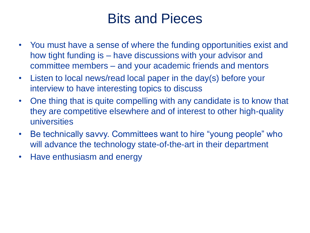## Bits and Pieces

- You must have a sense of where the funding opportunities exist and how tight funding is – have discussions with your advisor and committee members – and your academic friends and mentors
- Listen to local news/read local paper in the day(s) before your interview to have interesting topics to discuss
- One thing that is quite compelling with any candidate is to know that they are competitive elsewhere and of interest to other high-quality universities
- Be technically savvy. Committees want to hire "young people" who will advance the technology state-of-the-art in their department
- Have enthusiasm and energy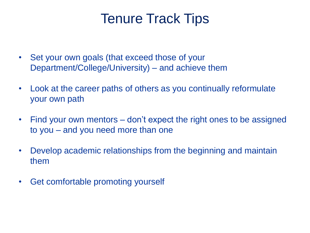## Tenure Track Tips

- Set your own goals (that exceed those of your Department/College/University) – and achieve them
- Look at the career paths of others as you continually reformulate your own path
- Find your own mentors don't expect the right ones to be assigned to you – and you need more than one
- Develop academic relationships from the beginning and maintain them
- Get comfortable promoting yourself